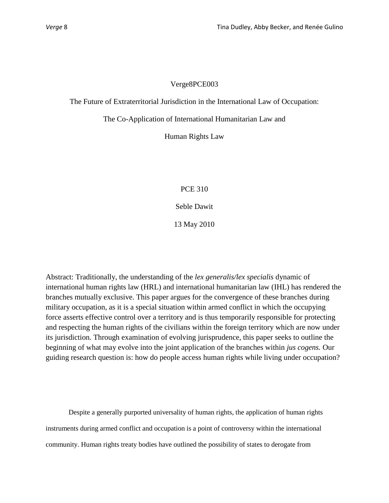# Verge8PCE003

# The Future of Extraterritorial Jurisdiction in the International Law of Occupation:

The Co-Application of International Humanitarian Law and

Human Rights Law

PCE 310

Seble Dawit

13 May 2010

Abstract: Traditionally, the understanding of the *lex generalis/lex specialis* dynamic of international human rights law (HRL) and international humanitarian law (IHL) has rendered the branches mutually exclusive. This paper argues for the convergence of these branches during military occupation, as it is a special situation within armed conflict in which the occupying force asserts effective control over a territory and is thus temporarily responsible for protecting and respecting the human rights of the civilians within the foreign territory which are now under its jurisdiction. Through examination of evolving jurisprudence, this paper seeks to outline the beginning of what may evolve into the joint application of the branches within *jus cogens.* Our guiding research question is: how do people access human rights while living under occupation?

Despite a generally purported universality of human rights, the application of human rights instruments during armed conflict and occupation is a point of controversy within the international community. Human rights treaty bodies have outlined the possibility of states to derogate from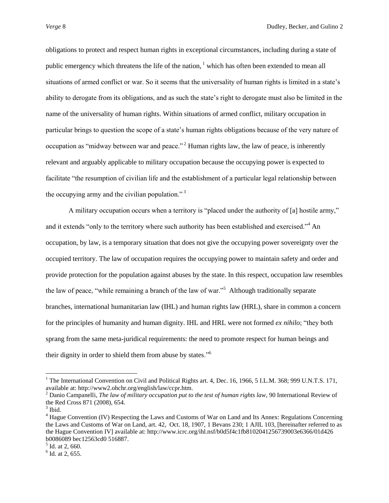obligations to protect and respect human rights in exceptional circumstances, including during a state of public emergency which threatens the life of the nation,  $\frac{1}{1}$  which has often been extended to mean all situations of armed conflict or war. So it seems that the universality of human rights is limited in a state's ability to derogate from its obligations, and as such the state's right to derogate must also be limited in the name of the universality of human rights. Within situations of armed conflict, military occupation in particular brings to question the scope of a state"s human rights obligations because of the very nature of occupation as "midway between war and peace." <sup>2</sup> Human rights law, the law of peace, is inherently relevant and arguably applicable to military occupation because the occupying power is expected to facilitate "the resumption of civilian life and the establishment of a particular legal relationship between the occupying army and the civilian population." $3$ 

A military occupation occurs when a territory is "placed under the authority of [a] hostile army," and it extends "only to the territory where such authority has been established and exercised."<sup>4</sup> An occupation, by law, is a temporary situation that does not give the occupying power sovereignty over the occupied territory. The law of occupation requires the occupying power to maintain safety and order and provide protection for the population against abuses by the state. In this respect, occupation law resembles the law of peace, "while remaining a branch of the law of war."<sup>5</sup> Although traditionally separate branches, international humanitarian law (IHL) and human rights law (HRL), share in common a concern for the principles of humanity and human dignity. IHL and HRL were not formed *ex nihilo*; "they both sprang from the same meta-juridical requirements: the need to promote respect for human beings and their dignity in order to shield them from abuse by states."<sup>6</sup>

<sup>&</sup>lt;sup>1</sup> The International Convention on Civil and Political Rights art. 4, Dec. 16, 1966, 5 I.L.M. 368; 999 U.N.T.S. 171, available at: http://www2.ohchr.org/english/law/ccpr.htm.

<sup>2</sup> Danio Campanelli, *The law of military occupation put to the test of human rights law*, 90 International Review of the Red Cross 871 (2008), 654.

 $3$  Ibid.

<sup>4</sup> Hague Convention (IV) Respecting the Laws and Customs of War on Land and Its Annex: Regulations Concerning the Laws and Customs of War on Land, art. 42, Oct. 18, 1907, 1 Bevans 230; 1 AJIL 103, [hereinafter referred to as the Hague Convention IV] available at: http://www.icrc.org/ihl.nsf/b0d5f4c1fb8102041256739003e6366/01d426 b0086089 bec12563cd0 516887.

 $<sup>5</sup>$  Id. at 2, 660.</sup>

 $<sup>6</sup>$  Id. at 2, 655.</sup>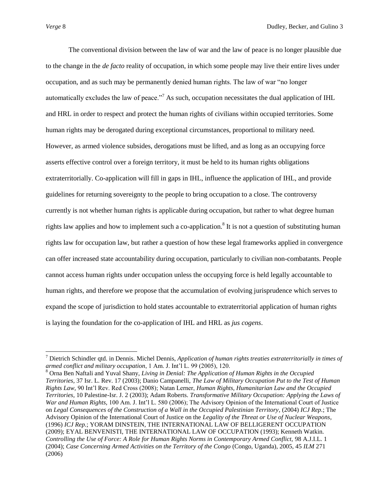$\overline{a}$ 

The conventional division between the law of war and the law of peace is no longer plausible due to the change in the *de facto* reality of occupation, in which some people may live their entire lives under occupation, and as such may be permanently denied human rights. The law of war "no longer automatically excludes the law of peace."<sup>7</sup> As such, occupation necessitates the dual application of IHL and HRL in order to respect and protect the human rights of civilians within occupied territories. Some human rights may be derogated during exceptional circumstances, proportional to military need. However, as armed violence subsides, derogations must be lifted, and as long as an occupying force asserts effective control over a foreign territory, it must be held to its human rights obligations extraterritorially. Co-application will fill in gaps in IHL, influence the application of IHL, and provide guidelines for returning sovereignty to the people to bring occupation to a close. The controversy currently is not whether human rights is applicable during occupation, but rather to what degree human rights law applies and how to implement such a co-application.<sup>8</sup> It is not a question of substituting human rights law for occupation law, but rather a question of how these legal frameworks applied in convergence can offer increased state accountability during occupation, particularly to civilian non-combatants. People cannot access human rights under occupation unless the occupying force is held legally accountable to human rights, and therefore we propose that the accumulation of evolving jurisprudence which serves to expand the scope of jurisdiction to hold states accountable to extraterritorial application of human rights is laying the foundation for the co-application of IHL and HRL as *jus cogens*.

<sup>7</sup> Dietrich Schindler qtd. in Dennis. Michel Dennis, *Application of human rights treaties extraterritorially in times of armed conflict and military occupation*, 1 Am. J. Int"l L. 99 (2005), 120.

<sup>8</sup> Orna Ben Naftali and Yuval Shany, *Living in Denial: The Application of Human Rights in the Occupied Territories,* 37 Isr. L. Rev. 17 (2003); Danio Campanelli, *The Law of Military Occupation Put to the Test of Human Rights Law,* 90 Int"l Rev. Red Cross (2008); Natan Lerner, *Human Rights, Humanitarian Law and the Occupied Territories,* 10 Palestine-Isr. J. 2 (2003); Adam Roberts. *Transformative Military Occupation: Applying the Laws of War and Human Rights,* 100 Am. J. Int'l L. 580 (2006); The Advisory Opinion of the International Court of Justice on *Legal Consequences of the Construction of a Wall in the Occupied Palestinian Territory*, (2004) *ICJ Rep.*; The Advisory Opinion of the International Court of Justice on the *Legality of the Threat or Use of Nuclear Weapons*, (1996) *ICJ Rep.*; YORAM DINSTEIN, THE INTERNATIONAL LAW OF BELLIGERENT OCCUPATION (2009); EYAL BENVENISTI, THE INTERNATIONAL LAW OF OCCUPATION (1993); Kenneth Watkin. *Controlling the Use of Force: A Role for Human Rights Norms in Contemporary Armed Conflict,* 98 A.J.I.L. 1 (2004); *Case Concerning Armed Activities on the Territory of the Congo* (Congo, Uganda), 2005, 45 *ILM* 271 (2006)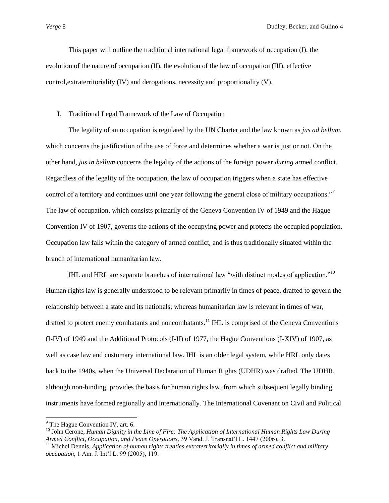This paper will outline the traditional international legal framework of occupation (I), the evolution of the nature of occupation (II), the evolution of the law of occupation (III), effective control,extraterritoriality (IV) and derogations, necessity and proportionality (V).

#### I. Traditional Legal Framework of the Law of Occupation

The legality of an occupation is regulated by the UN Charter and the law known as *jus ad bellum*, which concerns the justification of the use of force and determines whether a war is just or not. On the other hand, *jus in bellum* concerns the legality of the actions of the foreign power *during* armed conflict. Regardless of the legality of the occupation, the law of occupation triggers when a state has effective control of a territory and continues until one year following the general close of military occupations."<sup>9</sup> The law of occupation, which consists primarily of the Geneva Convention IV of 1949 and the Hague Convention IV of 1907, governs the actions of the occupying power and protects the occupied population. Occupation law falls within the category of armed conflict, and is thus traditionally situated within the branch of international humanitarian law.

IHL and HRL are separate branches of international law "with distinct modes of application."<sup>10</sup> Human rights law is generally understood to be relevant primarily in times of peace, drafted to govern the relationship between a state and its nationals; whereas humanitarian law is relevant in times of war, drafted to protect enemy combatants and noncombatants.<sup>11</sup> IHL is comprised of the Geneva Conventions (I-IV) of 1949 and the Additional Protocols (I-II) of 1977, the Hague Conventions (I-XIV) of 1907, as well as case law and customary international law. IHL is an older legal system, while HRL only dates back to the 1940s, when the Universal Declaration of Human Rights (UDHR) was drafted. The UDHR, although non-binding, provides the basis for human rights law, from which subsequent legally binding instruments have formed regionally and internationally. The International Covenant on Civil and Political

<sup>&</sup>lt;sup>9</sup> The Hague Convention IV, art. 6.

<sup>10</sup> John Cerone, *Human Dignity in the Line of Fire: The Application of International Human Rights Law During Armed Conflict, Occupation, and Peace Operations,* 39 Vand. J. Transnat"l L. 1447 (2006), 3.

<sup>&</sup>lt;sup>11</sup> Michel Dennis, *Application of human rights treaties extraterritorially in times of armed conflict and military occupation*, 1 Am. J. Int"l L. 99 (2005), 119.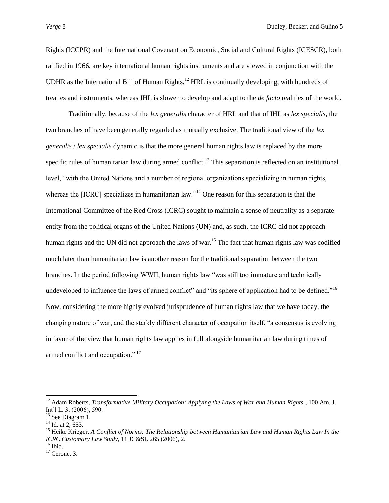Rights (ICCPR) and the International Covenant on Economic, Social and Cultural Rights (ICESCR), both ratified in 1966, are key international human rights instruments and are viewed in conjunction with the UDHR as the International Bill of Human Rights.<sup>12</sup> HRL is continually developing, with hundreds of treaties and instruments, whereas IHL is slower to develop and adapt to the *de facto* realities of the world.

Traditionally, because of the *lex generalis* character of HRL and that of IHL as *lex specialis*, the two branches of have been generally regarded as mutually exclusive. The traditional view of the *lex generalis* / *lex specialis* dynamic is that the more general human rights law is replaced by the more specific rules of humanitarian law during armed conflict.<sup>13</sup> This separation is reflected on an institutional level, "with the United Nations and a number of regional organizations specializing in human rights, whereas the [ICRC] specializes in humanitarian law.<sup>14</sup> One reason for this separation is that the International Committee of the Red Cross (ICRC) sought to maintain a sense of neutrality as a separate entity from the political organs of the United Nations (UN) and, as such, the ICRC did not approach human rights and the UN did not approach the laws of war.<sup>15</sup> The fact that human rights law was codified much later than humanitarian law is another reason for the traditional separation between the two branches. In the period following WWII, human rights law "was still too immature and technically undeveloped to influence the laws of armed conflict" and "its sphere of application had to be defined."<sup>16</sup> Now, considering the more highly evolved jurisprudence of human rights law that we have today, the changing nature of war, and the starkly different character of occupation itself, "a consensus is evolving in favor of the view that human rights law applies in full alongside humanitarian law during times of armed conflict and occupation." <sup>17</sup>

<sup>&</sup>lt;sup>12</sup> Adam Roberts, *Transformative Military Occupation: Applying the Laws of War and Human Rights*, 100 Am. J. Int"l L. 3, (2006), 590.

<sup>&</sup>lt;sup>13</sup> See Diagram 1.

 $14$  Id. at 2, 653.

<sup>15</sup> Heike Krieger, *A Conflict of Norms: The Relationship between Humanitarian Law and Human Rights Law In the ICRC Customary Law Study*, 11 JC&SL 265 (2006), 2.

 $16$  Ibid.

 $17$  Cerone, 3.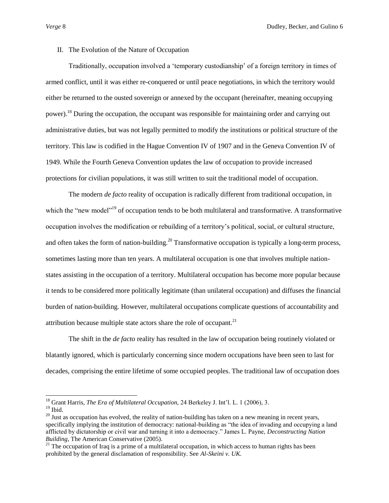# II. The Evolution of the Nature of Occupation

Traditionally, occupation involved a "temporary custodianship" of a foreign territory in times of armed conflict, until it was either re-conquered or until peace negotiations, in which the territory would either be returned to the ousted sovereign or annexed by the occupant (hereinafter, meaning occupying power).<sup>18</sup> During the occupation, the occupant was responsible for maintaining order and carrying out administrative duties, but was not legally permitted to modify the institutions or political structure of the territory. This law is codified in the Hague Convention IV of 1907 and in the Geneva Convention IV of 1949. While the Fourth Geneva Convention updates the law of occupation to provide increased protections for civilian populations, it was still written to suit the traditional model of occupation.

The modern *de facto* reality of occupation is radically different from traditional occupation, in which the "new model"<sup>19</sup> of occupation tends to be both multilateral and transformative. A transformative occupation involves the modification or rebuilding of a territory"s political, social, or cultural structure, and often takes the form of nation-building.<sup>20</sup> Transformative occupation is typically a long-term process, sometimes lasting more than ten years. A multilateral occupation is one that involves multiple nationstates assisting in the occupation of a territory. Multilateral occupation has become more popular because it tends to be considered more politically legitimate (than unilateral occupation) and diffuses the financial burden of nation-building. However, multilateral occupations complicate questions of accountability and attribution because multiple state actors share the role of occupant. $21$ 

The shift in the *de facto* reality has resulted in the law of occupation being routinely violated or blatantly ignored, which is particularly concerning since modern occupations have been seen to last for decades, comprising the entire lifetime of some occupied peoples. The traditional law of occupation does

<sup>18</sup> Grant Harris, *The Era of Multilateral Occupation,* 24 Berkeley J. Int"l. L. 1 (2006), 3.

 $19$  Ibid.

 $20$  Just as occupation has evolved, the reality of nation-building has taken on a new meaning in recent years, specifically implying the institution of democracy: national-building as "the idea of invading and occupying a land afflicted by dictatorship or civil war and turning it into a democracy." James L. Payne, *Deconstructing Nation Building*, The American Conservative (2005).

<sup>&</sup>lt;sup>21</sup> The occupation of Iraq is a prime of a multilateral occupation, in which access to human rights has been prohibited by the general disclamation of responsibility. See *Al-Skeini v. UK.*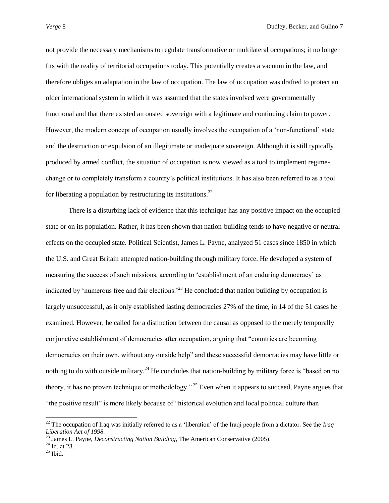not provide the necessary mechanisms to regulate transformative or multilateral occupations; it no longer fits with the reality of territorial occupations today. This potentially creates a vacuum in the law, and therefore obliges an adaptation in the law of occupation. The law of occupation was drafted to protect an older international system in which it was assumed that the states involved were governmentally functional and that there existed an ousted sovereign with a legitimate and continuing claim to power. However, the modern concept of occupation usually involves the occupation of a "non-functional" state and the destruction or expulsion of an illegitimate or inadequate sovereign. Although it is still typically produced by armed conflict, the situation of occupation is now viewed as a tool to implement regimechange or to completely transform a country"s political institutions. It has also been referred to as a tool for liberating a population by restructuring its institutions.<sup>22</sup>

There is a disturbing lack of evidence that this technique has any positive impact on the occupied state or on its population. Rather, it has been shown that nation-building tends to have negative or neutral effects on the occupied state. Political Scientist, James L. Payne, analyzed 51 cases since 1850 in which the U.S. and Great Britain attempted nation-building through military force. He developed a system of measuring the success of such missions, according to "establishment of an enduring democracy" as indicated by 'numerous free and fair elections.<sup> $23$ </sup> He concluded that nation building by occupation is largely unsuccessful, as it only established lasting democracies 27% of the time, in 14 of the 51 cases he examined. However, he called for a distinction between the causal as opposed to the merely temporally conjunctive establishment of democracies after occupation, arguing that "countries are becoming democracies on their own, without any outside help" and these successful democracies may have little or nothing to do with outside military.<sup>24</sup> He concludes that nation-building by military force is "based on no theory, it has no proven technique or methodology." <sup>25</sup> Even when it appears to succeed, Payne argues that "the positive result" is more likely because of "historical evolution and local political culture than

 $^{22}$  The occupation of Iraq was initially referred to as a 'liberation' of the Iraqi people from a dictator. See the *Iraq Liberation Act of 1998.*

<sup>23</sup> James L. Payne, *Deconstructing Nation Building*, The American Conservative (2005).

 $^{24}$  Id. at 23.

 $25$  Ibid.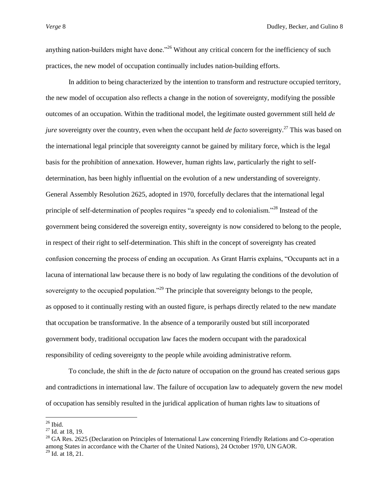anything nation-builders might have done.<sup>226</sup> Without any critical concern for the inefficiency of such practices, the new model of occupation continually includes nation-building efforts.

In addition to being characterized by the intention to transform and restructure occupied territory, the new model of occupation also reflects a change in the notion of sovereignty, modifying the possible outcomes of an occupation. Within the traditional model, the legitimate ousted government still held *de jure* sovereignty over the country, even when the occupant held *de facto* sovereignty.<sup>27</sup> This was based on the international legal principle that sovereignty cannot be gained by military force, which is the legal basis for the prohibition of annexation. However, human rights law, particularly the right to selfdetermination, has been highly influential on the evolution of a new understanding of sovereignty. General Assembly Resolution 2625, adopted in 1970, forcefully declares that the international legal principle of self-determination of peoples requires "a speedy end to colonialism."<sup>28</sup> Instead of the government being considered the sovereign entity, sovereignty is now considered to belong to the people, in respect of their right to self-determination. This shift in the concept of sovereignty has created confusion concerning the process of ending an occupation. As Grant Harris explains, "Occupants act in a lacuna of international law because there is no body of law regulating the conditions of the devolution of sovereignty to the occupied population."<sup>29</sup> The principle that sovereignty belongs to the people, as opposed to it continually resting with an ousted figure, is perhaps directly related to the new mandate that occupation be transformative. In the absence of a temporarily ousted but still incorporated government body, traditional occupation law faces the modern occupant with the paradoxical responsibility of ceding sovereignty to the people while avoiding administrative reform.

To conclude, the shift in the *de facto* nature of occupation on the ground has created serious gaps and contradictions in international law. The failure of occupation law to adequately govern the new model of occupation has sensibly resulted in the juridical application of human rights law to situations of

 $26$  Ibid.

<sup>27</sup> Id. at 18, 19.

<sup>&</sup>lt;sup>28</sup> GA Res. 2625 (Declaration on Principles of International Law concerning Friendly Relations and Co-operation among States in accordance with the Charter of the United Nations), 24 October 1970, UN GAOR.  $^{29}$  Id. at 18, 21.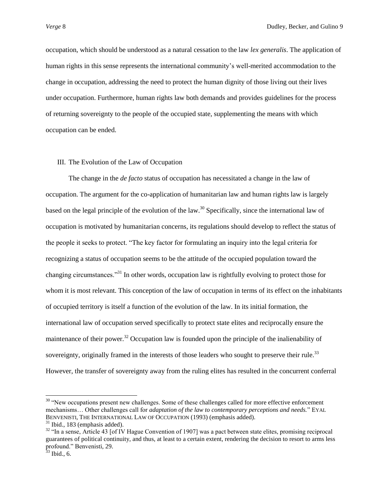occupation, which should be understood as a natural cessation to the law *lex generalis*. The application of human rights in this sense represents the international community"s well-merited accommodation to the change in occupation, addressing the need to protect the human dignity of those living out their lives under occupation. Furthermore, human rights law both demands and provides guidelines for the process of returning sovereignty to the people of the occupied state, supplementing the means with which occupation can be ended.

#### III. The Evolution of the Law of Occupation

The change in the *de facto* status of occupation has necessitated a change in the law of occupation. The argument for the co-application of humanitarian law and human rights law is largely based on the legal principle of the evolution of the law.<sup>30</sup> Specifically, since the international law of occupation is motivated by humanitarian concerns, its regulations should develop to reflect the status of the people it seeks to protect. "The key factor for formulating an inquiry into the legal criteria for recognizing a status of occupation seems to be the attitude of the occupied population toward the changing circumstances."<sup>31</sup> In other words, occupation law is rightfully evolving to protect those for whom it is most relevant. This conception of the law of occupation in terms of its effect on the inhabitants of occupied territory is itself a function of the evolution of the law. In its initial formation, the international law of occupation served specifically to protect state elites and reciprocally ensure the maintenance of their power.<sup>32</sup> Occupation law is founded upon the principle of the inalienability of sovereignty, originally framed in the interests of those leaders who sought to preserve their rule.<sup>33</sup> However, the transfer of sovereignty away from the ruling elites has resulted in the concurrent conferral

<sup>&</sup>lt;sup>30</sup> "New occupations present new challenges. Some of these challenges called for more effective enforcement mechanisms… Other challenges call for *adaptation of the law to contemporary perceptions and needs.*" EYAL BENVENISTI, THE INTERNATIONAL LAW OF OCCUPATION (1993) (emphasis added)*.*

 $31$  Ibid., 183 (emphasis added).

 $32$  "In a sense, Article 43 [of IV Hague Convention of 1907] was a pact between state elites, promising reciprocal guarantees of political continuity, and thus, at least to a certain extent, rendering the decision to resort to arms less profound." Benvenisti, 29.

 $33$  Ibid., 6.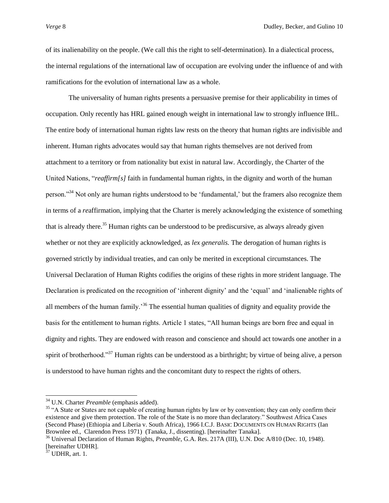of its inalienability on the people. (We call this the right to self-determination). In a dialectical process, the internal regulations of the international law of occupation are evolving under the influence of and with ramifications for the evolution of international law as a whole.

The universality of human rights presents a persuasive premise for their applicability in times of occupation. Only recently has HRL gained enough weight in international law to strongly influence IHL. The entire body of international human rights law rests on the theory that human rights are indivisible and inherent. Human rights advocates would say that human rights themselves are not derived from attachment to a territory or from nationality but exist in natural law. Accordingly, the Charter of the United Nations, "*reaffirm[s]* faith in fundamental human rights, in the dignity and worth of the human person."<sup>34</sup> Not only are human rights understood to be 'fundamental,' but the framers also recognize them in terms of a *re*affirmation, implying that the Charter is merely acknowledging the existence of something that is already there.<sup>35</sup> Human rights can be understood to be prediscursive, as always already given whether or not they are explicitly acknowledged, as *lex generalis*. The derogation of human rights is governed strictly by individual treaties, and can only be merited in exceptional circumstances. The Universal Declaration of Human Rights codifies the origins of these rights in more strident language. The Declaration is predicated on the recognition of "inherent dignity" and the "equal" and "inalienable rights of all members of the human family.<sup>36</sup> The essential human qualities of dignity and equality provide the basis for the entitlement to human rights. Article 1 states, "All human beings are born free and equal in dignity and rights. They are endowed with reason and conscience and should act towards one another in a spirit of brotherhood."<sup>37</sup> Human rights can be understood as a birthright; by virtue of being alive, a person is understood to have human rights and the concomitant duty to respect the rights of others.

<sup>34</sup> U.N. Charter *Preamble* (emphasis added)*.*

<sup>&</sup>lt;sup>35</sup> "A State or States are not capable of creating human rights by law or by convention; they can only confirm their existence and give them protection. The role of the State is no more than declaratory." Southwest Africa Cases (Second Phase) (Ethiopia and Liberia v. South Africa), 1966 I.C.J. BASIC DOCUMENTS ON HUMAN RIGHTS (Ian Brownlee ed., Clarendon Press 1971) (Tanaka, J., dissenting). [hereinafter Tanaka].

<sup>36</sup> Universal Declaration of Human Rights, *Preamble*, G.A. Res. 217A (III), U.N. Doc A/810 (Dec. 10, 1948). [hereinafter UDHR].

 $37$  UDHR, art. 1.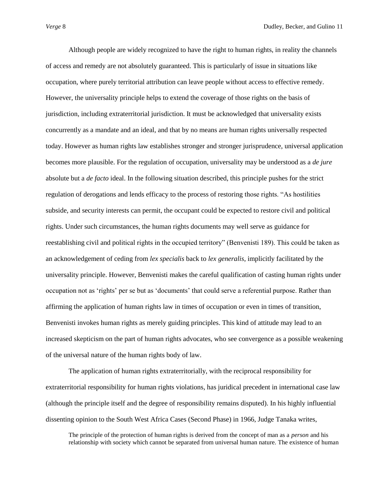Although people are widely recognized to have the right to human rights, in reality the channels of access and remedy are not absolutely guaranteed. This is particularly of issue in situations like occupation, where purely territorial attribution can leave people without access to effective remedy. However, the universality principle helps to extend the coverage of those rights on the basis of jurisdiction, including extraterritorial jurisdiction. It must be acknowledged that universality exists concurrently as a mandate and an ideal, and that by no means are human rights universally respected today. However as human rights law establishes stronger and stronger jurisprudence, universal application becomes more plausible. For the regulation of occupation, universality may be understood as a *de jure* absolute but a *de facto* ideal. In the following situation described, this principle pushes for the strict regulation of derogations and lends efficacy to the process of restoring those rights. "As hostilities subside, and security interests can permit, the occupant could be expected to restore civil and political rights. Under such circumstances, the human rights documents may well serve as guidance for reestablishing civil and political rights in the occupied territory" (Benvenisti 189). This could be taken as an acknowledgement of ceding from *lex specialis* back to *lex generalis*, implicitly facilitated by the universality principle. However, Benvenisti makes the careful qualification of casting human rights under occupation not as "rights" per se but as "documents" that could serve a referential purpose. Rather than affirming the application of human rights law in times of occupation or even in times of transition, Benvenisti invokes human rights as merely guiding principles. This kind of attitude may lead to an increased skepticism on the part of human rights advocates, who see convergence as a possible weakening of the universal nature of the human rights body of law.

The application of human rights extraterritorially, with the reciprocal responsibility for extraterritorial responsibility for human rights violations, has juridical precedent in international case law (although the principle itself and the degree of responsibility remains disputed). In his highly influential dissenting opinion to the South West Africa Cases (Second Phase) in 1966, Judge Tanaka writes,

The principle of the protection of human rights is derived from the concept of man as a *person* and his relationship with society which cannot be separated from universal human nature. The existence of human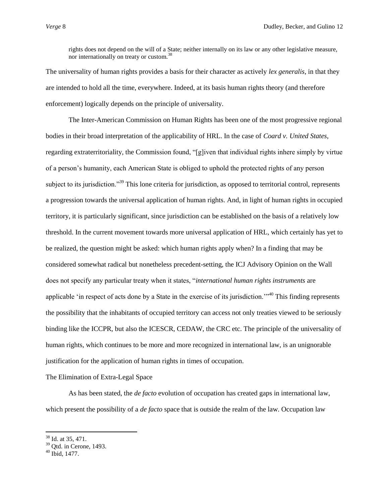rights does not depend on the will of a State; neither internally on its law or any other legislative measure, nor internationally on treaty or custom.<sup>38</sup>

The universality of human rights provides a basis for their character as actively *lex generalis*, in that they are intended to hold all the time, everywhere. Indeed, at its basis human rights theory (and therefore enforcement) logically depends on the principle of universality.

The Inter-American Commission on Human Rights has been one of the most progressive regional bodies in their broad interpretation of the applicability of HRL. In the case of *Coard v. United States*, regarding extraterritoriality, the Commission found, "[g]iven that individual rights inhere simply by virtue of a person"s humanity, each American State is obliged to uphold the protected rights of any person subject to its jurisdiction."<sup>39</sup> This lone criteria for jurisdiction, as opposed to territorial control, represents a progression towards the universal application of human rights. And, in light of human rights in occupied territory, it is particularly significant, since jurisdiction can be established on the basis of a relatively low threshold. In the current movement towards more universal application of HRL, which certainly has yet to be realized, the question might be asked: which human rights apply when? In a finding that may be considered somewhat radical but nonetheless precedent-setting, the ICJ Advisory Opinion on the Wall does not specify any particular treaty when it states, "*international human rights instruments* are applicable "in respect of acts done by a State in the exercise of its jurisdiction.""<sup>40</sup> This finding represents the possibility that the inhabitants of occupied territory can access not only treaties viewed to be seriously binding like the ICCPR, but also the ICESCR, CEDAW, the CRC etc. The principle of the universality of human rights, which continues to be more and more recognized in international law, is an unignorable justification for the application of human rights in times of occupation.

The Elimination of Extra-Legal Space

As has been stated, the *de facto* evolution of occupation has created gaps in international law, which present the possibility of a *de facto* space that is outside the realm of the law. Occupation law

 $38$  Id. at 35, 471.

 $39$  Qtd. in Cerone, 1493.

 $40$  Ibid, 1477.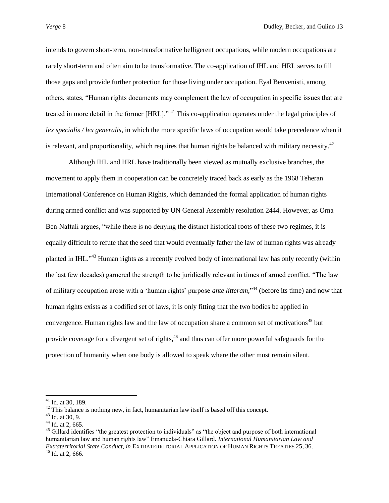intends to govern short-term, non-transformative belligerent occupations, while modern occupations are rarely short-term and often aim to be transformative. The co-application of IHL and HRL serves to fill those gaps and provide further protection for those living under occupation. Eyal Benvenisti, among others, states, "Human rights documents may complement the law of occupation in specific issues that are treated in more detail in the former [HRL]." <sup>41</sup> This co-application operates under the legal principles of *lex specialis / lex generalis*, in which the more specific laws of occupation would take precedence when it is relevant, and proportionality, which requires that human rights be balanced with military necessity.<sup>42</sup>

Although IHL and HRL have traditionally been viewed as mutually exclusive branches, the movement to apply them in cooperation can be concretely traced back as early as the 1968 Teheran International Conference on Human Rights, which demanded the formal application of human rights during armed conflict and was supported by UN General Assembly resolution 2444. However, as Orna Ben-Naftali argues, "while there is no denying the distinct historical roots of these two regimes, it is equally difficult to refute that the seed that would eventually father the law of human rights was already planted in IHL."<sup>43</sup> Human rights as a recently evolved body of international law has only recently (within the last few decades) garnered the strength to be juridically relevant in times of armed conflict. "The law of military occupation arose with a 'human rights' purpose *ante litteram*,"<sup>44</sup> (before its time) and now that human rights exists as a codified set of laws, it is only fitting that the two bodies be applied in convergence. Human rights law and the law of occupation share a common set of motivations<sup>45</sup> but provide coverage for a divergent set of rights,<sup>46</sup> and thus can offer more powerful safeguards for the protection of humanity when one body is allowed to speak where the other must remain silent.

 $41$  Id. at 30, 189.

 $42$  This balance is nothing new, in fact, humanitarian law itself is based off this concept.

 $43$  Id. at 30, 9.

 $44$  Id. at 2, 665.

<sup>&</sup>lt;sup>45</sup> Gillard identifies "the greatest protection to individuals" as "the object and purpose of both international humanitarian law and human rights law" Emanuela-Chiara Gillard. *International Humanitarian Law and Extraterritorial State Conduct*, *in* EXTRATERRITORIAL APPLICATION OF HUMAN RIGHTS TREATIES 25, 36.  $46$  Id. at 2, 666.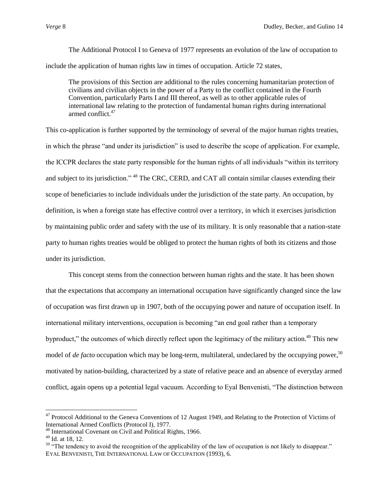The Additional Protocol I to Geneva of 1977 represents an evolution of the law of occupation to include the application of human rights law in times of occupation. Article 72 states,

The provisions of this Section are additional to the rules concerning humanitarian protection of civilians and civilian objects in the power of a Party to the conflict contained in the Fourth Convention, particularly Parts I and III thereof, as well as to other applicable rules of international law relating to the protection of fundamental human rights during international armed conflict.<sup>47</sup>

This co-application is further supported by the terminology of several of the major human rights treaties, in which the phrase "and under its jurisdiction" is used to describe the scope of application. For example, the ICCPR declares the state party responsible for the human rights of all individuals "within its territory and subject to its jurisdiction." <sup>48</sup> The CRC, CERD, and CAT all contain similar clauses extending their scope of beneficiaries to include individuals under the jurisdiction of the state party. An occupation, by definition, is when a foreign state has effective control over a territory, in which it exercises jurisdiction by maintaining public order and safety with the use of its military. It is only reasonable that a nation-state party to human rights treaties would be obliged to protect the human rights of both its citizens and those under its jurisdiction.

This concept stems from the connection between human rights and the state. It has been shown that the expectations that accompany an international occupation have significantly changed since the law of occupation was first drawn up in 1907, both of the occupying power and nature of occupation itself. In international military interventions, occupation is becoming "an end goal rather than a temporary byproduct," the outcomes of which directly reflect upon the legitimacy of the military action.<sup>49</sup> This new model of *de facto* occupation which may be long-term, multilateral, undeclared by the occupying power,<sup>50</sup> motivated by nation-building, characterized by a state of relative peace and an absence of everyday armed conflict, again opens up a potential legal vacuum. According to Eyal Benvenisti, "The distinction between

l  $47$  Protocol Additional to the Geneva Conventions of 12 August 1949, and Relating to the Protection of Victims of International Armed Conflicts (Protocol I), 1977.

<sup>48</sup> International Covenant on Civil and Political Rights, 1966.

<sup>49</sup> Id. at 18, 12.

<sup>&</sup>lt;sup>50</sup> "The tendency to avoid the recognition of the applicability of the law of occupation is not likely to disappear." EYAL BENVENISTI, THE INTERNATIONAL LAW OF OCCUPATION (1993), 6.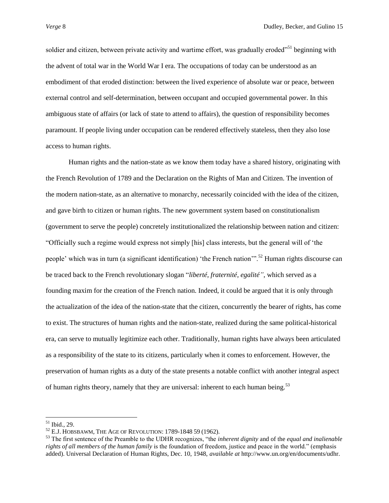soldier and citizen, between private activity and wartime effort, was gradually eroded<sup>"51</sup> beginning with the advent of total war in the World War I era. The occupations of today can be understood as an embodiment of that eroded distinction: between the lived experience of absolute war or peace, between external control and self-determination, between occupant and occupied governmental power. In this ambiguous state of affairs (or lack of state to attend to affairs), the question of responsibility becomes paramount. If people living under occupation can be rendered effectively stateless, then they also lose access to human rights.

Human rights and the nation-state as we know them today have a shared history, originating with the French Revolution of 1789 and the Declaration on the Rights of Man and Citizen. The invention of the modern nation-state, as an alternative to monarchy, necessarily coincided with the idea of the citizen, and gave birth to citizen or human rights. The new government system based on constitutionalism (government to serve the people) concretely institutionalized the relationship between nation and citizen: "Officially such a regime would express not simply [his] class interests, but the general will of "the people' which was in turn (a significant identification) 'the French nation'".<sup>52</sup> Human rights discourse can be traced back to the French revolutionary slogan "*liberté, fraternité, egalité"*, which served as a founding maxim for the creation of the French nation. Indeed, it could be argued that it is only through the actualization of the idea of the nation-state that the citizen, concurrently the bearer of rights, has come to exist. The structures of human rights and the nation-state, realized during the same political-historical era, can serve to mutually legitimize each other. Traditionally, human rights have always been articulated as a responsibility of the state to its citizens, particularly when it comes to enforcement. However, the preservation of human rights as a duty of the state presents a notable conflict with another integral aspect of human rights theory, namely that they are universal: inherent to each human being.<sup>53</sup>

<sup>51</sup> Ibid., 29.

<sup>52</sup> E.J. HOBSBAWM, THE AGE OF REVOLUTION: 1789-1848 59 (1962).

<sup>53</sup> The first sentence of the Preamble to the UDHR recognizes, "the *inherent dignity* and of the *equal and inalienable rights of all members of the human family* is the foundation of freedom, justice and peace in the world." (emphasis added). Universal Declaration of Human Rights, Dec. 10, 1948, *available at* http://www.un.org/en/documents/udhr.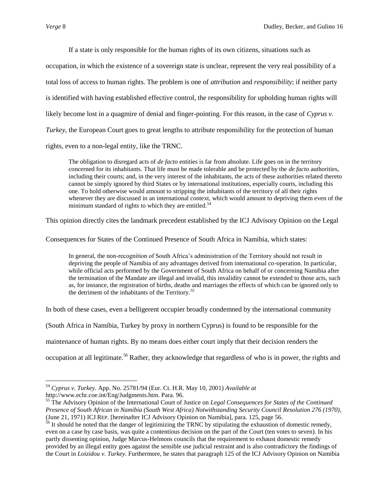$\overline{\phantom{a}}$ 

If a state is only responsible for the human rights of its own citizens, situations such as

occupation, in which the existence of a sovereign state is unclear, represent the very real possibility of a total loss of access to human rights. The problem is one of *attribution* and *responsibility*; if neither party is identified with having established effective control, the responsibility for upholding human rights will likely become lost in a quagmire of denial and finger-pointing. For this reason, in the case of *Cyprus v. Turkey*, the European Court goes to great lengths to attribute responsibility for the protection of human rights, even to a non-legal entity, like the TRNC.

The obligation to disregard acts of *de facto* entities is far from absolute. Life goes on in the territory concerned for its inhabitants. That life must be made tolerable and be protected by the *de facto* authorities, including their courts; and, in the very interest of the inhabitants, the acts of these authorities related thereto cannot be simply ignored by third States or by international institutions, especially courts, including this one. To hold otherwise would amount to stripping the inhabitants of the territory of all their rights whenever they are discussed in an international context, which would amount to depriving them even of the minimum standard of rights to which they are entitled.<sup>54</sup>

This opinion directly cites the landmark precedent established by the ICJ Advisory Opinion on the Legal

Consequences for States of the Continued Presence of South Africa in Namibia, which states:

In general, the non-recognition of South Africa's administration of the Territory should not result in depriving the people of Namibia of any advantages derived from international co-operation. In particular, while official acts performed by the Government of South Africa on behalf of or concerning Namibia after the termination of the Mandate are illegal and invalid, this invalidity cannot be extended to those acts, such as, for instance, the registration of births, deaths and marriages the effects of which can be ignored only to the detriment of the inhabitants of the Territory.<sup>55</sup>

In both of these cases, even a belligerent occupier broadly condemned by the international community

(South Africa in Namibia, Turkey by proxy in northern Cyprus) is found to be responsible for the

maintenance of human rights. By no means does either court imply that their decision renders the

occupation at all legitimate.<sup>56</sup> Rather, they acknowledge that regardless of who is in power, the rights and

<sup>54</sup> *Cyprus v. Turkey*. App. No. 25781/94 (Eur. Ct. H.R. May 10, 2001) *Available at*  [http://www.echr.coe.int/Eng/Judgments.htm.](http://www.echr.coe.int/Eng/Judgments.htm) Para. 96.

<sup>55</sup> The Advisory Opinion of the International Court of Justice on *Legal Consequences for States of the Continued Presence of South African in Namibia (South West Africa) Notwithstanding Security Council Resolution 276 (1970)*, (June 21, 1971) ICJ REP*.* [hereinafter ICJ Advisory Opinion on Namibia], para. 125, page 56.

 $56$  It should be noted that the danger of legitimizing the TRNC by stipulating the exhaustion of domestic remedy, even on a case by case basis, was quite a contentious decision on the part of the Court (ten votes to seven). In his partly dissenting opinion, Judge Marcus-Helmons councils that the requirement to exhaust domestic remedy provided by an illegal entity goes against the sensible use judicial restraint and is also contradictory the findings of the Court in *Loizidou v. Turkey*. Furthermore, he states that paragraph 125 of the ICJ Advisory Opinion on Namibia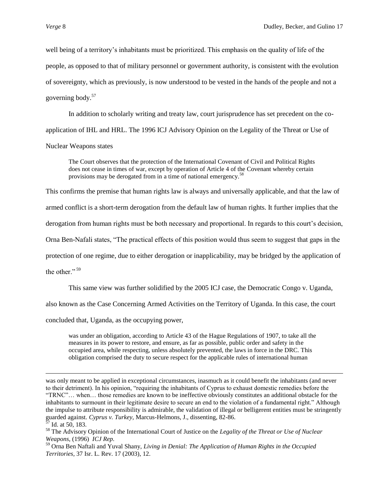well being of a territory"s inhabitants must be prioritized. This emphasis on the quality of life of the people, as opposed to that of military personnel or government authority, is consistent with the evolution of sovereignty, which as previously, is now understood to be vested in the hands of the people and not a governing body.<sup>57</sup>

In addition to scholarly writing and treaty law, court jurisprudence has set precedent on the coapplication of IHL and HRL. The 1996 ICJ Advisory Opinion on the Legality of the Threat or Use of Nuclear Weapons states

The Court observes that the protection of the International Covenant of Civil and Political Rights does not cease in times of war, except by operation of Article 4 of the Covenant whereby certain provisions may be derogated from in a time of national emergency.<sup>58</sup>

This confirms the premise that human rights law is always and universally applicable, and that the law of

armed conflict is a short-term derogation from the default law of human rights. It further implies that the

derogation from human rights must be both necessary and proportional. In regards to this court's decision,

Orna Ben-Nafali states, "The practical effects of this position would thus seem to suggest that gaps in the

protection of one regime, due to either derogation or inapplicability, may be bridged by the application of

the other." <sup>59</sup>

This same view was further solidified by the 2005 ICJ case, the Democratic Congo v. Uganda,

also known as the Case Concerning Armed Activities on the Territory of Uganda. In this case, the court

concluded that, Uganda, as the occupying power,

was under an obligation, according to Article 43 of the Hague Regulations of 1907, to take all the measures in its power to restore, and ensure, as far as possible, public order and safety in the occupied area, while respecting, unless absolutely prevented, the laws in force in the DRC. This obligation comprised the duty to secure respect for the applicable rules of international human

was only meant to be applied in exceptional circumstances, inasmuch as it could benefit the inhabitants (and never to their detriment). In his opinion, "requiring the inhabitants of Cyprus to exhaust domestic remedies before the "TRNC"… when… those remedies are known to be ineffective obviously constitutes an additional obstacle for the inhabitants to surmount in their legitimate desire to secure an end to the violation of a fundamental right." Although the impulse to attribute responsibility is admirable, the validation of illegal or belligerent entities must be stringently guarded against. *Cyprus v. Turkey*, Marcus-Helmons, J., dissenting, 82-86.

 $57$  Id. at 50, 183.

<sup>58</sup> The Advisory Opinion of the International Court of Justice on the *Legality of the Threat or Use of Nuclear Weapons*, (1996) *ICJ Rep.*

<sup>59</sup> Orna Ben Naftali and Yuval Shany, *Living in Denial: The Application of Human Rights in the Occupied Territories,* 37 Isr. L. Rev. 17 (2003), 12.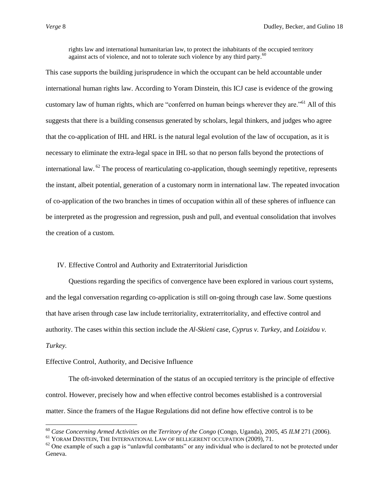rights law and international humanitarian law, to protect the inhabitants of the occupied territory against acts of violence, and not to tolerate such violence by any third party. $60$ 

This case supports the building jurisprudence in which the occupant can be held accountable under international human rights law. According to Yoram Dinstein, this ICJ case is evidence of the growing customary law of human rights, which are "conferred on human beings wherever they are."<sup>61</sup> All of this suggests that there is a building consensus generated by scholars, legal thinkers, and judges who agree that the co-application of IHL and HRL is the natural legal evolution of the law of occupation, as it is necessary to eliminate the extra-legal space in IHL so that no person falls beyond the protections of international law.  $^{62}$  The process of rearticulating co-application, though seemingly repetitive, represents the instant, albeit potential, generation of a customary norm in international law. The repeated invocation of co-application of the two branches in times of occupation within all of these spheres of influence can be interpreted as the progression and regression, push and pull, and eventual consolidation that involves the creation of a custom.

# IV. Effective Control and Authority and Extraterritorial Jurisdiction

Questions regarding the specifics of convergence have been explored in various court systems, and the legal conversation regarding co-application is still on-going through case law. Some questions that have arisen through case law include territoriality, extraterritoriality, and effective control and authority. The cases within this section include the *Al-Skieni* case, *Cyprus v. Turkey*, and *Loizidou v. Turkey.*

#### Effective Control, Authority, and Decisive Influence

 $\overline{\phantom{a}}$ 

The oft-invoked determination of the status of an occupied territory is the principle of effective control. However, precisely how and when effective control becomes established is a controversial matter. Since the framers of the Hague Regulations did not define how effective control is to be

<sup>60</sup> *Case Concerning Armed Activities on the Territory of the Congo* (Congo, Uganda), 2005, 45 *ILM* 271 (2006).

<sup>&</sup>lt;sup>61</sup> YORAM DINSTEIN, THE INTERNATIONAL LAW OF BELLIGERENT OCCUPATION (2009), 71.

 $62$  One example of such a gap is "unlawful combatants" or any individual who is declared to not be protected under Geneva.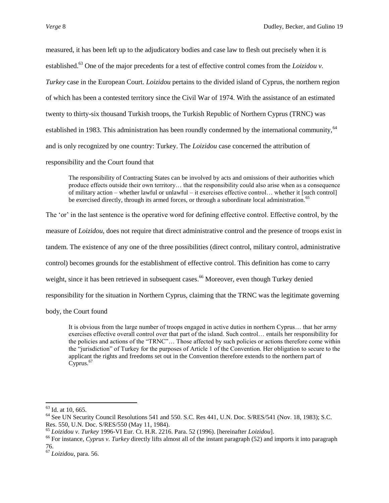measured, it has been left up to the adjudicatory bodies and case law to flesh out precisely when it is established.<sup>63</sup> One of the major precedents for a test of effective control comes from the *Loizidou v*. *Turkey* case in the European Court. *Loizidou* pertains to the divided island of Cyprus, the northern region of which has been a contested territory since the Civil War of 1974. With the assistance of an estimated twenty to thirty-six thousand Turkish troops, the Turkish Republic of Northern Cyprus (TRNC) was established in 1983. This administration has been roundly condemned by the international community, <sup>64</sup> and is only recognized by one country: Turkey. The *Loizidou* case concerned the attribution of responsibility and the Court found that

The responsibility of Contracting States can be involved by acts and omissions of their authorities which produce effects outside their own territory… that the responsibility could also arise when as a consequence of military action – whether lawful or unlawful – it exercises effective control… whether it [such control] be exercised directly, through its armed forces, or through a subordinate local administration.<sup>6</sup>

The "or" in the last sentence is the operative word for defining effective control. Effective control, by the

measure of *Loizidou*, does not require that direct administrative control and the presence of troops exist in

tandem. The existence of any one of the three possibilities (direct control, military control, administrative

control) becomes grounds for the establishment of effective control. This definition has come to carry

weight, since it has been retrieved in subsequent cases.<sup>66</sup> Moreover, even though Turkey denied

responsibility for the situation in Northern Cyprus, claiming that the TRNC was the legitimate governing

body, the Court found

It is obvious from the large number of troops engaged in active duties in northern Cyprus… that her army exercises effective overall control over that part of the island. Such control… entails her responsibility for the policies and actions of the "TRNC"… Those affected by such policies or actions therefore come within the "jurisdiction" of Turkey for the purposes of Article 1 of the Convention. Her obligation to secure to the applicant the rights and freedoms set out in the Convention therefore extends to the northern part of  $Cvprus.<sup>67</sup>$ 

 $63$  Id. at 10, 665.

<sup>&</sup>lt;sup>64</sup> See UN Security Council Resolutions 541 and 550. S.C. Res 441, U.N. Doc. S/RES/541 (Nov. 18, 1983); S.C. Res. 550, U.N. Doc. S/RES/550 (May 11, 1984).

<sup>65</sup> *Loizidou v. Turkey* 1996-VI Eur. Ct. H.R. 2216. Para. 52 (1996). [hereinafter *Loizidou*].

<sup>66</sup> For instance, *Cyprus v. Turkey* directly lifts almost all of the instant paragraph (52) and imports it into paragraph 76.

<sup>67</sup> *Loizidou*, para. 56.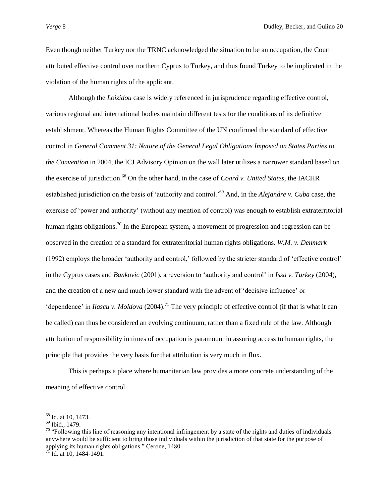Even though neither Turkey nor the TRNC acknowledged the situation to be an occupation, the Court attributed effective control over northern Cyprus to Turkey, and thus found Turkey to be implicated in the violation of the human rights of the applicant.

Although the *Loizidou* case is widely referenced in jurisprudence regarding effective control, various regional and international bodies maintain different tests for the conditions of its definitive establishment. Whereas the Human Rights Committee of the UN confirmed the standard of effective control in *General Comment 31: Nature of the General Legal Obligations Imposed on States Parties to the Convention* in 2004, the ICJ Advisory Opinion on the wall later utilizes a narrower standard based on the exercise of jurisdiction.<sup>68</sup> On the other hand, in the case of *Coard v. United States*, the IACHR established jurisdiction on the basis of "authority and control."<sup>69</sup> And, in the *Alejandre v. Cuba* case, the exercise of "power and authority" (without any mention of control) was enough to establish extraterritorial human rights obligations.<sup>70</sup> In the European system, a movement of progression and regression can be observed in the creation of a standard for extraterritorial human rights obligations. *W.M. v. Denmark* (1992) employs the broader 'authority and control,' followed by the stricter standard of 'effective control' in the Cyprus cases and *Bankovic* (2001), a reversion to "authority and control" in *Issa v. Turkey* (2004), and the creation of a new and much lower standard with the advent of "decisive influence" or 'dependence' in *Ilascu v. Moldova* (2004).<sup>71</sup> The very principle of effective control (if that is what it can be called) can thus be considered an evolving continuum, rather than a fixed rule of the law. Although attribution of responsibility in times of occupation is paramount in assuring access to human rights, the principle that provides the very basis for that attribution is very much in flux.

This is perhaps a place where humanitarian law provides a more concrete understanding of the meaning of effective control.

l

<sup>&</sup>lt;sup>68</sup> Id. at 10, 1473.

 $69$  Ibid., 1479.

 $70$  "Following this line of reasoning any intentional infringement by a state of the rights and duties of individuals anywhere would be sufficient to bring those individuals within the jurisdiction of that state for the purpose of applying its human rights obligations." Cerone, 1480.

 $^{71}$  Id. at 10, 1484-1491.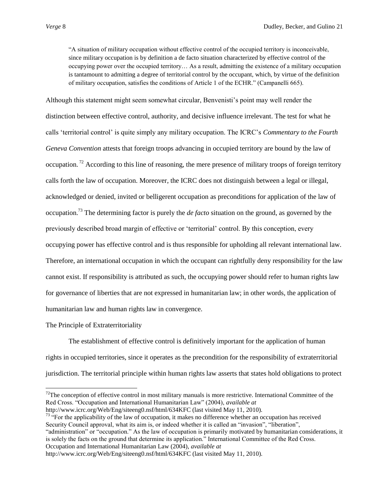"A situation of military occupation without effective control of the occupied territory is inconceivable, since military occupation is by definition a de facto situation characterized by effective control of the occupying power over the occupied territory… As a result, admitting the existence of a military occupation is tantamount to admitting a degree of territorial control by the occupant, which, by virtue of the definition of military occupation, satisfies the conditions of Article 1 of the ECHR." (Campanelli 665).

Although this statement might seem somewhat circular, Benvenisti"s point may well render the distinction between effective control, authority, and decisive influence irrelevant. The test for what he calls "territorial control" is quite simply any military occupation. The ICRC"s *Commentary to the Fourth Geneva Convention* attests that foreign troops advancing in occupied territory are bound by the law of occupation. <sup>72</sup> According to this line of reasoning, the mere presence of military troops of foreign territory calls forth the law of occupation. Moreover, the ICRC does not distinguish between a legal or illegal, acknowledged or denied, invited or belligerent occupation as preconditions for application of the law of occupation.<sup>73</sup> The determining factor is purely the *de facto* situation on the ground, as governed by the previously described broad margin of effective or "territorial" control. By this conception, every occupying power has effective control and is thus responsible for upholding all relevant international law. Therefore, an international occupation in which the occupant can rightfully deny responsibility for the law cannot exist. If responsibility is attributed as such, the occupying power should refer to human rights law for governance of liberties that are not expressed in humanitarian law; in other words, the application of humanitarian law and human rights law in convergence.

# The Principle of Extraterritoriality

 $\overline{\phantom{a}}$ 

The establishment of effective control is definitively important for the application of human rights in occupied territories, since it operates as the precondition for the responsibility of extraterritorial jurisdiction. The territorial principle within human rights law asserts that states hold obligations to protect

http://www.icrc.org/Web/Eng/siteeng0.nsf/html/634KFC (last visited May 11, 2010).  $73$  "For the applicability of the law of occupation, it makes no difference whether an occupation has received Security Council approval, what its aim is, or indeed whether it is called an "invasion", "liberation",

"administration" or "occupation." As the law of occupation is primarily motivated by humanitarian considerations, it is solely the facts on the ground that determine its application." International Committee of the Red Cross. Occupation and International Humanitarian Law (2004), *available at*

 $72$ The conception of effective control in most military manuals is more restrictive. International Committee of the Red Cross. "Occupation and International Humanitarian Law" (2004), *available at*

http://www.icrc.org/Web/Eng/siteeng0.nsf/html/634KFC (last visited May 11, 2010).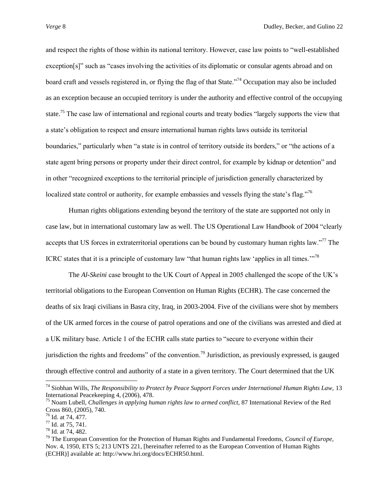and respect the rights of those within its national territory. However, case law points to "well-established exception[s]" such as "cases involving the activities of its diplomatic or consular agents abroad and on board craft and vessels registered in, or flying the flag of that State."<sup>74</sup> Occupation may also be included as an exception because an occupied territory is under the authority and effective control of the occupying state.<sup>75</sup> The case law of international and regional courts and treaty bodies "largely supports the view that a state"s obligation to respect and ensure international human rights laws outside its territorial boundaries," particularly when "a state is in control of territory outside its borders," or "the actions of a state agent bring persons or property under their direct control, for example by kidnap or detention" and in other "recognized exceptions to the territorial principle of jurisdiction generally characterized by localized state control or authority, for example embassies and vessels flying the state's flag."<sup>76</sup>

Human rights obligations extending beyond the territory of the state are supported not only in case law, but in international customary law as well. The US Operational Law Handbook of 2004 "clearly accepts that US forces in extraterritorial operations can be bound by customary human rights law."<sup>77</sup> The ICRC states that it is a principle of customary law "that human rights law "applies in all times.""<sup>78</sup>

The *Al-Skeini* case brought to the UK Court of Appeal in 2005 challenged the scope of the UK"s territorial obligations to the European Convention on Human Rights (ECHR). The case concerned the deaths of six Iraqi civilians in Basra city, Iraq, in 2003-2004. Five of the civilians were shot by members of the UK armed forces in the course of patrol operations and one of the civilians was arrested and died at a UK military base. Article 1 of the ECHR calls state parties to "secure to everyone within their jurisdiction the rights and freedoms" of the convention.<sup>79</sup> Jurisdiction, as previously expressed, is gauged through effective control and authority of a state in a given territory. The Court determined that the UK

<sup>74</sup> Siobhan Wills, *The Responsibility to Protect by Peace Support Forces under International Human Rights Law,* 13 International Peacekeeping 4, (2006), 478.

<sup>75</sup> Noam Lubell, *Challenges in applying human rights law to armed conflict,* 87 International Review of the Red Cross 860, (2005), 740.

 $76$  Id. at 74, 477.

<sup>77</sup> Id. at 75, 741.

<sup>78</sup> Id. at 74, 482.

<sup>79</sup> The European Convention for the Protection of Human Rights and Fundamental Freedoms, *Council of Europe,*  Nov. 4, 1950, ETS 5; 213 UNTS 221, [hereinafter referred to as the European Convention of Human Rights (ECHR)] available at: http://www.hri.org/docs/ECHR50.html.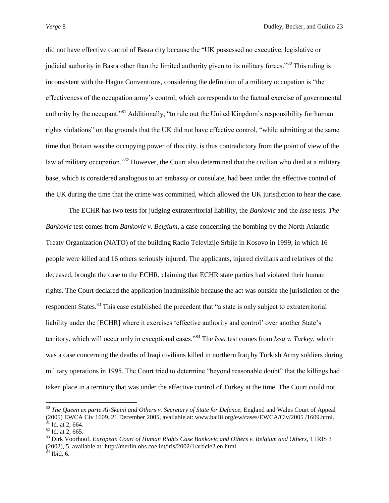did not have effective control of Basra city because the "UK possessed no executive, legislative or judicial authority in Basra other than the limited authority given to its military forces."<sup>80</sup> This ruling is inconsistent with the Hague Conventions, considering the definition of a military occupation is "the effectiveness of the occupation army"s control, which corresponds to the factual exercise of governmental authority by the occupant."<sup>81</sup> Additionally, "to rule out the United Kingdom's responsibility for human rights violations" on the grounds that the UK did not have effective control, "while admitting at the same time that Britain was the occupying power of this city, is thus contradictory from the point of view of the law of military occupation."<sup>82</sup> However, the Court also determined that the civilian who died at a military base, which is considered analogous to an embassy or consulate, had been under the effective control of the UK during the time that the crime was committed, which allowed the UK jurisdiction to hear the case.

The ECHR has two tests for judging extraterritorial liability, the *Bankovic* and the *Issa* tests. *The Bankovic* test comes from *Bankovic v. Belgium*, a case concerning the bombing by the North Atlantic Treaty Organization (NATO) of the building Radio Televizije Srbije in Kosovo in 1999, in which 16 people were killed and 16 others seriously injured. The applicants, injured civilians and relatives of the deceased, brought the case to the ECHR, claiming that ECHR state parties had violated their human rights. The Court declared the application inadmissible because the act was outside the jurisdiction of the respondent States.<sup>83</sup> This case established the precedent that "a state is only subject to extraterritorial liability under the [ECHR] where it exercises 'effective authority and control' over another State's territory, which will occur only in exceptional cases."<sup>84</sup> The *Issa* test comes from *Issa v. Turkey*, which was a case concerning the deaths of Iraqi civilians killed in northern Iraq by Turkish Army soldiers during military operations in 1995. The Court tried to determine "beyond reasonable doubt" that the killings had taken place in a territory that was under the effective control of Turkey at the time. The Court could not

<sup>&</sup>lt;sup>80</sup> *The Queen ex parte Al-Skeini and Others v. Secretary of State for Defence, England and Wales Court of Appeal* (2005) EWCA Civ 1609, 21 December 2005, available at: www.bailii.org/ew/cases/EWCA/Civ/2005 /1609.html.  $81$  Id. at 2, 664.

 $82$  Id. at 2, 665.

<sup>83</sup> Dirk Voorhoof, *European Court of Human Rights Case Bankovic and Others v. Belgium and Others,* 1 IRIS 3 (2002), 5, available at: http://merlin.obs.coe.int/iris/2002/1/article2.en.html.

 $84$  Ibid, 6.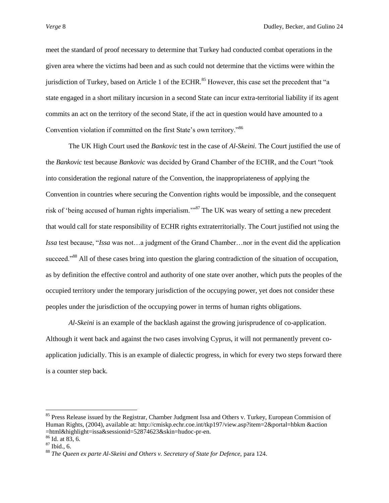meet the standard of proof necessary to determine that Turkey had conducted combat operations in the given area where the victims had been and as such could not determine that the victims were within the jurisdiction of Turkey, based on Article 1 of the ECHR.<sup>85</sup> However, this case set the precedent that "a state engaged in a short military incursion in a second State can incur extra-territorial liability if its agent commits an act on the territory of the second State, if the act in question would have amounted to a Convention violation if committed on the first State's own territory."<sup>86</sup>

The UK High Court used the *Bankovic* test in the case of *Al-Skeini.* The Court justified the use of the *Bankovic* test because *Bankovic* was decided by Grand Chamber of the ECHR, and the Court "took into consideration the regional nature of the Convention, the inappropriateness of applying the Convention in countries where securing the Convention rights would be impossible, and the consequent risk of "being accused of human rights imperialism.""<sup>87</sup> The UK was weary of setting a new precedent that would call for state responsibility of ECHR rights extraterritorially. The Court justified not using the *Issa* test because, "*Issa* was not…a judgment of the Grand Chamber…nor in the event did the application succeed."<sup>88</sup> All of these cases bring into question the glaring contradiction of the situation of occupation, as by definition the effective control and authority of one state over another, which puts the peoples of the occupied territory under the temporary jurisdiction of the occupying power, yet does not consider these peoples under the jurisdiction of the occupying power in terms of human rights obligations.

*Al-Skeini* is an example of the backlash against the growing jurisprudence of co-application. Although it went back and against the two cases involving Cyprus, it will not permanently prevent coapplication judicially. This is an example of dialectic progress, in which for every two steps forward there is a counter step back.

l

<sup>&</sup>lt;sup>85</sup> Press Release issued by the Registrar, Chamber Judgment Issa and Others v. Turkey, European Commision of Human Rights, (2004), available at: http://cmiskp.echr.coe.int/tkp197/view.asp?item=2&portal=hbkm &action =html&highlight=issa&sessionid=52874623&skin=hudoc-pr-en.

 $86$  Id. at 83, 6.

 $87$  Ibid., 6.

<sup>&</sup>lt;sup>88</sup> The Queen ex parte Al-Skeini and Others v. Secretary of State for Defence, para 124.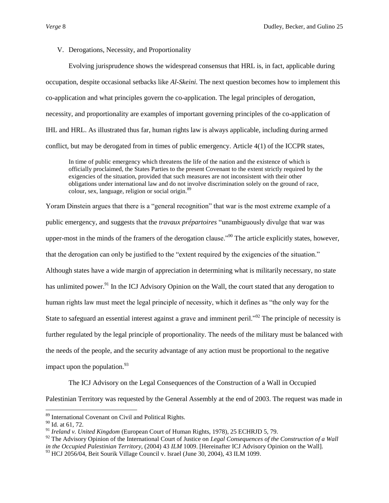# V. Derogations, Necessity, and Proportionality

Evolving jurisprudence shows the widespread consensus that HRL is, in fact, applicable during occupation, despite occasional setbacks like *Al-Skeini.* The next question becomes how to implement this co-application and what principles govern the co-application. The legal principles of derogation, necessity, and proportionality are examples of important governing principles of the co-application of IHL and HRL. As illustrated thus far, human rights law is always applicable, including during armed conflict, but may be derogated from in times of public emergency. Article 4(1) of the ICCPR states,

In time of public emergency which threatens the life of the nation and the existence of which is officially proclaimed, the States Parties to the present Covenant to the extent strictly required by the exigencies of the situation, provided that such measures are not inconsistent with their other obligations under international law and do not involve discrimination solely on the ground of race, colour, sex, language, religion or social origin.<sup>89</sup>

Yoram Dinstein argues that there is a "general recognition" that war is the most extreme example of a public emergency, and suggests that the *travaux prépartoires* "unambiguously divulge that war was upper-most in the minds of the framers of the derogation clause.<sup>"90</sup> The article explicitly states, however, that the derogation can only be justified to the "extent required by the exigencies of the situation." Although states have a wide margin of appreciation in determining what is militarily necessary, no state has unlimited power.<sup>91</sup> In the ICJ Advisory Opinion on the Wall, the court stated that any derogation to human rights law must meet the legal principle of necessity, which it defines as "the only way for the State to safeguard an essential interest against a grave and imminent peril.<sup>"92</sup> The principle of necessity is further regulated by the legal principle of proportionality. The needs of the military must be balanced with the needs of the people, and the security advantage of any action must be proportional to the negative impact upon the population. $93$ 

The ICJ Advisory on the Legal Consequences of the Construction of a Wall in Occupied

Palestinian Territory was requested by the General Assembly at the end of 2003. The request was made in

l

<sup>&</sup>lt;sup>89</sup> International Covenant on Civil and Political Rights.

<sup>90</sup> Id. at 61, 72.

<sup>91</sup> *Ireland v. United Kingdom* (European Court of Human Rights, 1978), 25 ECHRJD 5, 79.

<sup>&</sup>lt;sup>92</sup> The Advisory Opinion of the International Court of Justice on *Legal Consequences of the Construction of a Wall* 

*in the Occupied Palestinian Territory*, (2004) 43 *ILM* 1009. [Hereinafter ICJ Advisory Opinion on the Wall].

 $^{93}$  HCJ 2056/04, Beit Sourik Village Council v. Israel (June 30, 2004), 43 ILM 1099.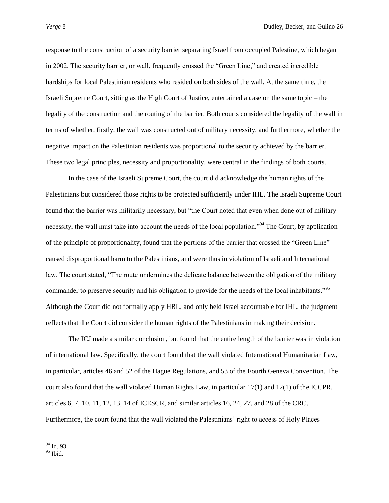response to the construction of a security barrier separating Israel from occupied Palestine, which began in 2002. The security barrier, or wall, frequently crossed the "Green Line," and created incredible hardships for local Palestinian residents who resided on both sides of the wall. At the same time, the Israeli Supreme Court, sitting as the High Court of Justice, entertained a case on the same topic – the legality of the construction and the routing of the barrier. Both courts considered the legality of the wall in terms of whether, firstly, the wall was constructed out of military necessity, and furthermore, whether the negative impact on the Palestinian residents was proportional to the security achieved by the barrier. These two legal principles, necessity and proportionality, were central in the findings of both courts.

In the case of the Israeli Supreme Court, the court did acknowledge the human rights of the Palestinians but considered those rights to be protected sufficiently under IHL. The Israeli Supreme Court found that the barrier was militarily necessary, but "the Court noted that even when done out of military necessity, the wall must take into account the needs of the local population.<sup>"94</sup> The Court, by application of the principle of proportionality, found that the portions of the barrier that crossed the "Green Line" caused disproportional harm to the Palestinians, and were thus in violation of Israeli and International law. The court stated, "The route undermines the delicate balance between the obligation of the military commander to preserve security and his obligation to provide for the needs of the local inhabitants."<sup>95</sup> Although the Court did not formally apply HRL, and only held Israel accountable for IHL, the judgment reflects that the Court did consider the human rights of the Palestinians in making their decision.

The ICJ made a similar conclusion, but found that the entire length of the barrier was in violation of international law. Specifically, the court found that the wall violated International Humanitarian Law, in particular, articles 46 and 52 of the Hague Regulations, and 53 of the Fourth Geneva Convention. The court also found that the wall violated Human Rights Law, in particular 17(1) and 12(1) of the ICCPR, articles 6, 7, 10, 11, 12, 13, 14 of ICESCR, and similar articles 16, 24, 27, and 28 of the CRC. Furthermore, the court found that the wall violated the Palestinians' right to access of Holy Places

 $\overline{\phantom{a}}$ <sup>94</sup> Id. 93.

<sup>95</sup> Ibid.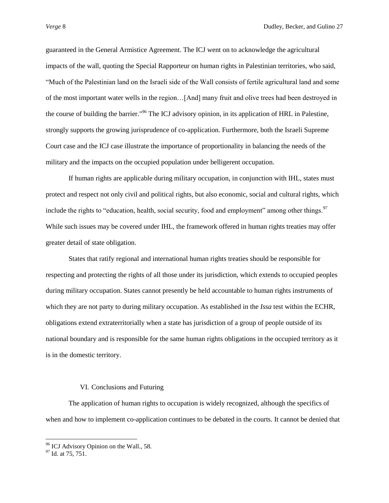guaranteed in the General Armistice Agreement. The ICJ went on to acknowledge the agricultural impacts of the wall, quoting the Special Rapporteur on human rights in Palestinian territories, who said, "Much of the Palestinian land on the Israeli side of the Wall consists of fertile agricultural land and some of the most important water wells in the region…[And] many fruit and olive trees had been destroyed in the course of building the barrier."<sup>96</sup> The ICJ advisory opinion, in its application of HRL in Palestine, strongly supports the growing jurisprudence of co-application. Furthermore, both the Israeli Supreme Court case and the ICJ case illustrate the importance of proportionality in balancing the needs of the military and the impacts on the occupied population under belligerent occupation.

If human rights are applicable during military occupation, in conjunction with IHL, states must protect and respect not only civil and political rights, but also economic, social and cultural rights, which include the rights to "education, health, social security, food and employment" among other things.<sup>97</sup> While such issues may be covered under IHL, the framework offered in human rights treaties may offer greater detail of state obligation.

States that ratify regional and international human rights treaties should be responsible for respecting and protecting the rights of all those under its jurisdiction, which extends to occupied peoples during military occupation. States cannot presently be held accountable to human rights instruments of which they are not party to during military occupation. As established in the *Issa* test within the ECHR, obligations extend extraterritorially when a state has jurisdiction of a group of people outside of its national boundary and is responsible for the same human rights obligations in the occupied territory as it is in the domestic territory.

# VI. Conclusions and Futuring

The application of human rights to occupation is widely recognized, although the specifics of when and how to implement co-application continues to be debated in the courts. It cannot be denied that

<sup>&</sup>lt;sup>96</sup> ICJ Advisory Opinion on the Wall., 58.

<sup>&</sup>lt;sup>97</sup> Id. at 75, 751.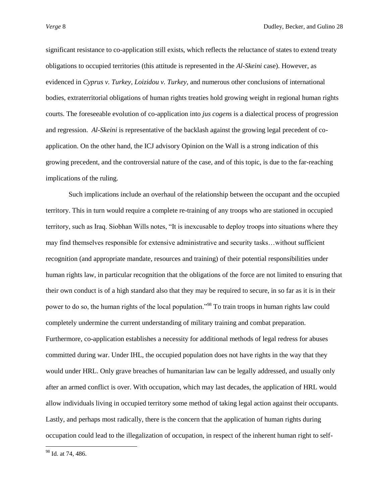significant resistance to co-application still exists, which reflects the reluctance of states to extend treaty obligations to occupied territories (this attitude is represented in the *Al-Skeini* case). However, as evidenced in *Cyprus v. Turkey, Loizidou v. Turkey,* and numerous other conclusions of international bodies, extraterritorial obligations of human rights treaties hold growing weight in regional human rights courts. The foreseeable evolution of co-application into *jus cogens* is a dialectical process of progression and regression. *Al-Skeini* is representative of the backlash against the growing legal precedent of coapplication. On the other hand, the ICJ advisory Opinion on the Wall is a strong indication of this growing precedent, and the controversial nature of the case, and of this topic, is due to the far-reaching implications of the ruling.

Such implications include an overhaul of the relationship between the occupant and the occupied territory. This in turn would require a complete re-training of any troops who are stationed in occupied territory, such as Iraq. Siobhan Wills notes, "It is inexcusable to deploy troops into situations where they may find themselves responsible for extensive administrative and security tasks…without sufficient recognition (and appropriate mandate, resources and training) of their potential responsibilities under human rights law, in particular recognition that the obligations of the force are not limited to ensuring that their own conduct is of a high standard also that they may be required to secure, in so far as it is in their power to do so, the human rights of the local population."<sup>98</sup> To train troops in human rights law could completely undermine the current understanding of military training and combat preparation. Furthermore, co-application establishes a necessity for additional methods of legal redress for abuses committed during war. Under IHL, the occupied population does not have rights in the way that they would under HRL. Only grave breaches of humanitarian law can be legally addressed, and usually only after an armed conflict is over. With occupation, which may last decades, the application of HRL would allow individuals living in occupied territory some method of taking legal action against their occupants. Lastly, and perhaps most radically, there is the concern that the application of human rights during occupation could lead to the illegalization of occupation, in respect of the inherent human right to self-

<sup>&</sup>lt;sup>98</sup> Id. at 74, 486.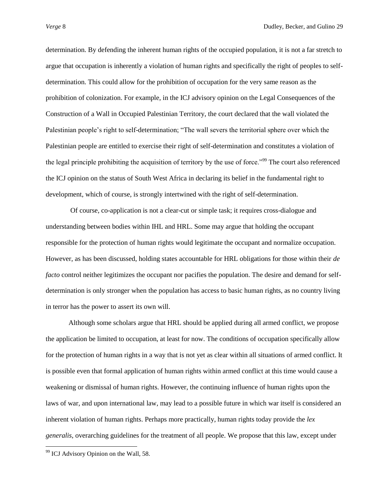determination. By defending the inherent human rights of the occupied population, it is not a far stretch to argue that occupation is inherently a violation of human rights and specifically the right of peoples to selfdetermination. This could allow for the prohibition of occupation for the very same reason as the prohibition of colonization. For example, in the ICJ advisory opinion on the Legal Consequences of the Construction of a Wall in Occupied Palestinian Territory, the court declared that the wall violated the Palestinian people"s right to self-determination; "The wall severs the territorial sphere over which the Palestinian people are entitled to exercise their right of self-determination and constitutes a violation of the legal principle prohibiting the acquisition of territory by the use of force."<sup>99</sup> The court also referenced the ICJ opinion on the status of South West Africa in declaring its belief in the fundamental right to development, which of course, is strongly intertwined with the right of self-determination.

Of course, co-application is not a clear-cut or simple task; it requires cross-dialogue and understanding between bodies within IHL and HRL. Some may argue that holding the occupant responsible for the protection of human rights would legitimate the occupant and normalize occupation. However, as has been discussed, holding states accountable for HRL obligations for those within their *de facto* control neither legitimizes the occupant nor pacifies the population. The desire and demand for selfdetermination is only stronger when the population has access to basic human rights, as no country living in terror has the power to assert its own will.

Although some scholars argue that HRL should be applied during all armed conflict, we propose the application be limited to occupation, at least for now. The conditions of occupation specifically allow for the protection of human rights in a way that is not yet as clear within all situations of armed conflict. It is possible even that formal application of human rights within armed conflict at this time would cause a weakening or dismissal of human rights. However, the continuing influence of human rights upon the laws of war, and upon international law, may lead to a possible future in which war itself is considered an inherent violation of human rights. Perhaps more practically, human rights today provide the *lex generalis*, overarching guidelines for the treatment of all people. We propose that this law, except under

<sup>&</sup>lt;sup>99</sup> ICJ Advisory Opinion on the Wall, 58.